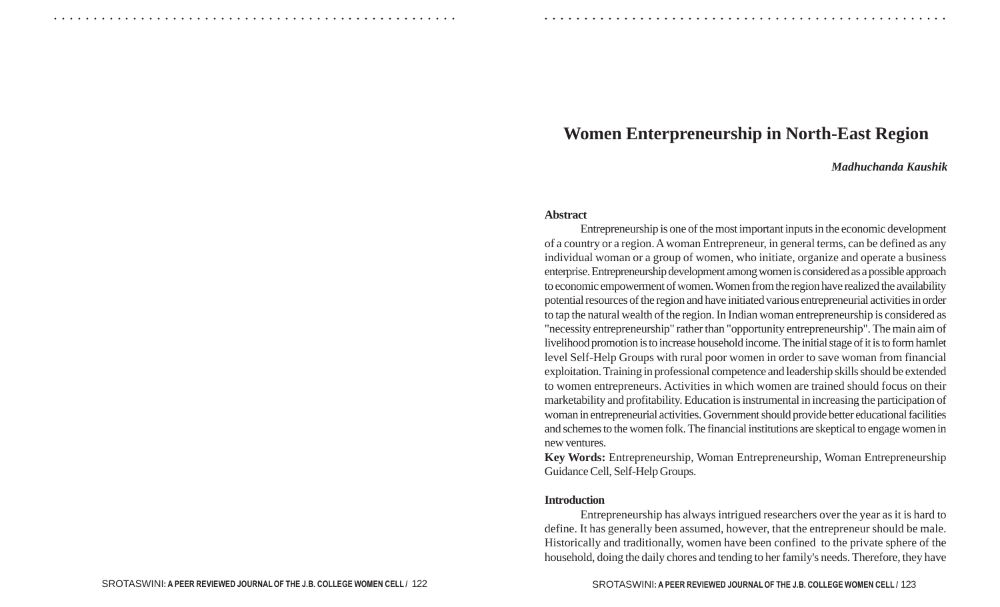# **Women Enterpreneurship in North-East Region**

#### *Madhuchanda Kaushik*

#### **Abstract**

○ ○ ○ ○ ○ ○ ○ ○ ○ ○ ○ ○ ○ ○ ○ ○ ○ ○ ○ ○ ○ ○ ○ ○ ○ ○ ○ ○ ○ ○ ○ ○ ○ ○ ○ ○ ○ ○ ○ ○ ○ ○ ○ ○ ○ ○ ○ ○ ○ ○ ○ ○ ○ ○ ○ ○ ○ ○ ○ ○ ○ ○ ○ ○ ○ ○ ○ ○ ○ ○ ○ ○ ○ ○ ○ ○ ○ ○ ○ ○ ○ ○ ○ ○ ○ ○ ○ ○ ○ ○ ○ ○ ○ ○ ○ ○ ○ ○ ○ ○ ○ ○

Entrepreneurship is one of the most important inputs in the economic development of a country or a region. A woman Entrepreneur, in general terms, can be defined as any individual woman or a group of women, who initiate, organize and operate a business enterprise. Entrepreneurship development among women is considered as a possible approach to economic empowerment of women. Women from the region have realized the availability potential resources of the region and have initiated various entrepreneurial activities in order to tap the natural wealth of the region. In Indian woman entrepreneurship is considered as "necessity entrepreneurship" rather than "opportunity entrepreneurship". The main aim of livelihood promotion is to increase household income. The initial stage of it is to form hamlet level Self-Help Groups with rural poor women in order to save woman from financial exploitation. Training in professional competence and leadership skills should be extended to women entrepreneurs. Activities in which women are trained should focus on their marketability and profitability. Education is instrumental in increasing the participation of woman in entrepreneurial activities. Government should provide better educational facilities and schemes to the women folk. The financial institutions are skeptical to engage women in new ventures.

**Key Words:** Entrepreneurship, Woman Entrepreneurship, Woman Entrepreneurship Guidance Cell, Self-Help Groups.

## **Introduction**

Entrepreneurship has always intrigued researchers over the year as it is hard to define. It has generally been assumed, however, that the entrepreneur should be male. Historically and traditionally, women have been confined to the private sphere of the household, doing the daily chores and tending to her family's needs. Therefore, they have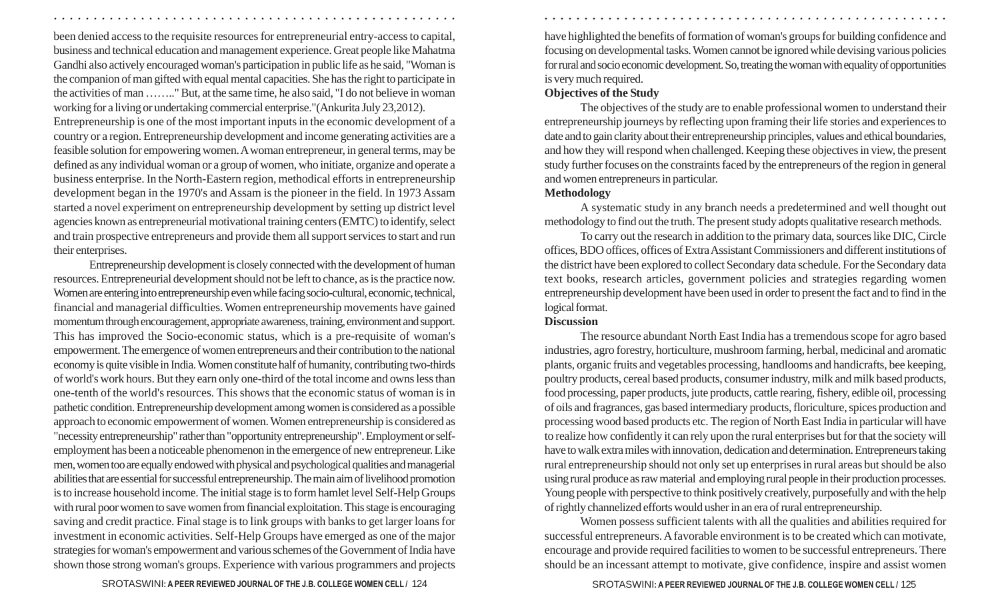been denied access to the requisite resources for entrepreneurial entry-access to capital, business and technical education and management experience. Great people like Mahatma Gandhi also actively encouraged woman's participation in public life as he said, "Woman is the companion of man gifted with equal mental capacities. She has the right to participate in the activities of man …….." But, at the same time, he also said, "I do not believe in woman working for a living or undertaking commercial enterprise."(Ankurita July 23,2012).

○ ○ ○ ○ ○ ○ ○ ○ ○ ○ ○ ○ ○ ○ ○ ○ ○ ○ ○ ○ ○ ○ ○ ○ ○ ○ ○ ○ ○ ○ ○ ○ ○ ○ ○ ○ ○ ○ ○ ○ ○ ○ ○ ○ ○ ○ ○ ○ ○ ○ ○ ○ ○ ○ ○ ○ ○ ○ ○ ○ ○ ○ ○ ○ ○ ○ ○ ○ ○ ○ ○ ○ ○ ○ ○ ○ ○ ○ ○ ○ ○ ○ ○ ○ ○ ○ ○ ○ ○ ○ ○ ○ ○ ○ ○ ○ ○ ○ ○ ○ ○ ○

Entrepreneurship is one of the most important inputs in the economic development of a country or a region. Entrepreneurship development and income generating activities are a feasible solution for empowering women. A woman entrepreneur, in general terms, may be defined as any individual woman or a group of women, who initiate, organize and operate a business enterprise. In the North-Eastern region, methodical efforts in entrepreneurship development began in the 1970's and Assam is the pioneer in the field. In 1973 Assam started a novel experiment on entrepreneurship development by setting up district level agencies known as entrepreneurial motivational training centers (EMTC) to identify, select and train prospective entrepreneurs and provide them all support services to start and run their enterprises.

Entrepreneurship development is closely connected with the development of human resources. Entrepreneurial development should not be left to chance, as is the practice now. Women are entering into entrepreneurship even while facing socio-cultural, economic, technical, financial and managerial difficulties. Women entrepreneurship movements have gained momentum through encouragement, appropriate awareness, training, environment and support. This has improved the Socio-economic status, which is a pre-requisite of woman's empowerment. The emergence of women entrepreneurs and their contribution to the national economy is quite visible in India. Women constitute half of humanity, contributing two-thirds of world's work hours. But they earn only one-third of the total income and owns less than one-tenth of the world's resources. This shows that the economic status of woman is in pathetic condition. Entrepreneurship development among women is considered as a possible approach to economic empowerment of women. Women entrepreneurship is considered as "necessity entrepreneurship" rather than "opportunity entrepreneurship". Employment or selfemployment has been a noticeable phenomenon in the emergence of new entrepreneur. Like men, women too are equally endowed with physical and psychological qualities and managerial abilities that are essential for successful entrepreneurship. The main aim of livelihood promotion is to increase household income. The initial stage is to form hamlet level Self-Help Groups with rural poor women to save women from financial exploitation. This stage is encouraging saving and credit practice. Final stage is to link groups with banks to get larger loans for investment in economic activities. Self-Help Groups have emerged as one of the major strategies for woman's empowerment and various schemes of the Government of India have shown those strong woman's groups. Experience with various programmers and projects have highlighted the benefits of formation of woman's groups for building confidence and focusing on developmental tasks. Women cannot be ignored while devising various policies for rural and socio economic development. So, treating the woman with equality of opportunities is very much required.

# **Objectives of the Study**

The objectives of the study are to enable professional women to understand their entrepreneurship journeys by reflecting upon framing their life stories and experiences to date and to gain clarity about their entrepreneurship principles, values and ethical boundaries, and how they will respond when challenged. Keeping these objectives in view, the present study further focuses on the constraints faced by the entrepreneurs of the region in general and women entrepreneurs in particular.

# **Methodology**

A systematic study in any branch needs a predetermined and well thought out methodology to find out the truth. The present study adopts qualitative research methods.

To carry out the research in addition to the primary data, sources like DIC, Circle offices, BDO offices, offices of Extra Assistant Commissioners and different institutions of the district have been explored to collect Secondary data schedule. For the Secondary data text books, research articles, government policies and strategies regarding women entrepreneurship development have been used in order to present the fact and to find in the logical format.

# **Discussion**

The resource abundant North East India has a tremendous scope for agro based industries, agro forestry, horticulture, mushroom farming, herbal, medicinal and aromatic plants, organic fruits and vegetables processing, handlooms and handicrafts, bee keeping, poultry products, cereal based products, consumer industry, milk and milk based products, food processing, paper products, jute products, cattle rearing, fishery, edible oil, processing of oils and fragrances, gas based intermediary products, floriculture, spices production and processing wood based products etc. The region of North East India in particular will have to realize how confidently it can rely upon the rural enterprises but for that the society will have to walk extra miles with innovation, dedication and determination. Entrepreneurs taking rural entrepreneurship should not only set up enterprises in rural areas but should be also using rural produce as raw material and employing rural people in their production processes. Young people with perspective to think positively creatively, purposefully and with the help of rightly channelized efforts would usher in an era of rural entrepreneurship.

Women possess sufficient talents with all the qualities and abilities required for successful entrepreneurs. A favorable environment is to be created which can motivate, encourage and provide required facilities to women to be successful entrepreneurs. There should be an incessant attempt to motivate, give confidence, inspire and assist women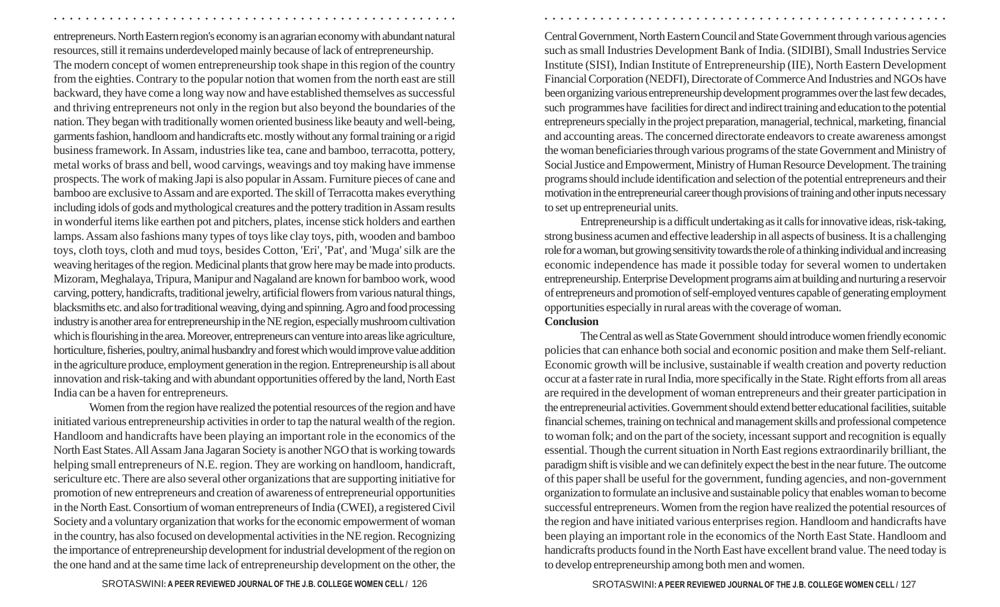entrepreneurs. North Eastern region's economy is an agrarian economy with abundant natural resources, still it remains underdeveloped mainly because of lack of entrepreneurship.

The modern concept of women entrepreneurship took shape in this region of the country from the eighties. Contrary to the popular notion that women from the north east are still backward, they have come a long way now and have established themselves as successful and thriving entrepreneurs not only in the region but also beyond the boundaries of the nation. They began with traditionally women oriented business like beauty and well-being, garments fashion, handloom and handicrafts etc. mostly without any formal training or a rigid business framework. In Assam, industries like tea, cane and bamboo, terracotta, pottery, metal works of brass and bell, wood carvings, weavings and toy making have immense prospects. The work of making Japi is also popular in Assam. Furniture pieces of cane and bamboo are exclusive to Assam and are exported. The skill of Terracotta makes everything including idols of gods and mythological creatures and the pottery tradition in Assam results in wonderful items like earthen pot and pitchers, plates, incense stick holders and earthen lamps. Assam also fashions many types of toys like clay toys, pith, wooden and bamboo toys, cloth toys, cloth and mud toys, besides Cotton, 'Eri', 'Pat', and 'Muga' silk are the weaving heritages of the region. Medicinal plants that grow here may be made into products. Mizoram, Meghalaya, Tripura, Manipur and Nagaland are known for bamboo work, wood carving, pottery, handicrafts, traditional jewelry, artificial flowers from various natural things, blacksmiths etc. and also for traditional weaving, dying and spinning. Agro and food processing industry is another area for entrepreneurship in the NE region, especially mushroom cultivation which is flourishing in the area. Moreover, entrepreneurs can venture into areas like agriculture, horticulture, fisheries, poultry, animal husbandry and forest which would improve value addition in the agriculture produce, employment generation in the region. Entrepreneurship is all about innovation and risk-taking and with abundant opportunities offered by the land, North East India can be a haven for entrepreneurs.

Women from the region have realized the potential resources of the region and have initiated various entrepreneurship activities in order to tap the natural wealth of the region. Handloom and handicrafts have been playing an important role in the economics of the North East States. All Assam Jana Jagaran Society is another NGO that is working towards helping small entrepreneurs of N.E. region. They are working on handloom, handicraft, sericulture etc. There are also several other organizations that are supporting initiative for promotion of new entrepreneurs and creation of awareness of entrepreneurial opportunities in the North East. Consortium of woman entrepreneurs of India (CWEI), a registered Civil Society and a voluntary organization that works for the economic empowerment of woman in the country, has also focused on developmental activities in the NE region. Recognizing the importance of entrepreneurship development for industrial development of the region on the one hand and at the same time lack of entrepreneurship development on the other, the

Central Government, North Eastern Council and State Government through various agencies such as small Industries Development Bank of India. (SIDIBI), Small Industries Service Institute (SISI), Indian Institute of Entrepreneurship (IIE), North Eastern Development Financial Corporation (NEDFI), Directorate of Commerce And Industries and NGOs have been organizing various entrepreneurship development programmes over the last few decades, such programmes have facilities for direct and indirect training and education to the potential entrepreneurs specially in the project preparation, managerial, technical, marketing, financial and accounting areas. The concerned directorate endeavors to create awareness amongst the woman beneficiaries through various programs of the state Government and Ministry of Social Justice and Empowerment, Ministry of Human Resource Development. The training programs should include identification and selection of the potential entrepreneurs and their motivation in the entrepreneurial career though provisions of training and other inputs necessary to set up entrepreneurial units.

Entrepreneurship is a difficult undertaking as it calls for innovative ideas, risk-taking, strong business acumen and effective leadership in all aspects of business. It is a challenging role for a woman, but growing sensitivity towards the role of a thinking individual and increasing economic independence has made it possible today for several women to undertaken entrepreneurship. Enterprise Development programs aim at building and nurturing a reservoir of entrepreneurs and promotion of self-employed ventures capable of generating employment opportunities especially in rural areas with the coverage of woman.

### **Conclusion**

○ ○ ○ ○ ○ ○ ○ ○ ○ ○ ○ ○ ○ ○ ○ ○ ○ ○ ○ ○ ○ ○ ○ ○ ○ ○ ○ ○ ○ ○ ○ ○ ○ ○ ○ ○ ○ ○ ○ ○ ○ ○ ○ ○ ○ ○ ○ ○ ○ ○ ○ ○ ○ ○ ○ ○ ○ ○ ○ ○ ○ ○ ○ ○ ○ ○ ○ ○ ○ ○ ○ ○ ○ ○ ○ ○ ○ ○ ○ ○ ○ ○ ○ ○ ○ ○ ○ ○ ○ ○ ○ ○ ○ ○ ○ ○ ○ ○ ○ ○ ○ ○

The Central as well as State Government should introduce women friendly economic policies that can enhance both social and economic position and make them Self-reliant. Economic growth will be inclusive, sustainable if wealth creation and poverty reduction occur at a faster rate in rural India, more specifically in the State. Right efforts from all areas are required in the development of woman entrepreneurs and their greater participation in the entrepreneurial activities. Government should extend better educational facilities, suitable financial schemes, training on technical and management skills and professional competence to woman folk; and on the part of the society, incessant support and recognition is equally essential. Though the current situation in North East regions extraordinarily brilliant, the paradigm shift is visible and we can definitely expect the best in the near future. The outcome of this paper shall be useful for the government, funding agencies, and non-government organization to formulate an inclusive and sustainable policy that enables woman to become successful entrepreneurs. Women from the region have realized the potential resources of the region and have initiated various enterprises region. Handloom and handicrafts have been playing an important role in the economics of the North East State. Handloom and handicrafts products found in the North East have excellent brand value. The need today is to develop entrepreneurship among both men and women.